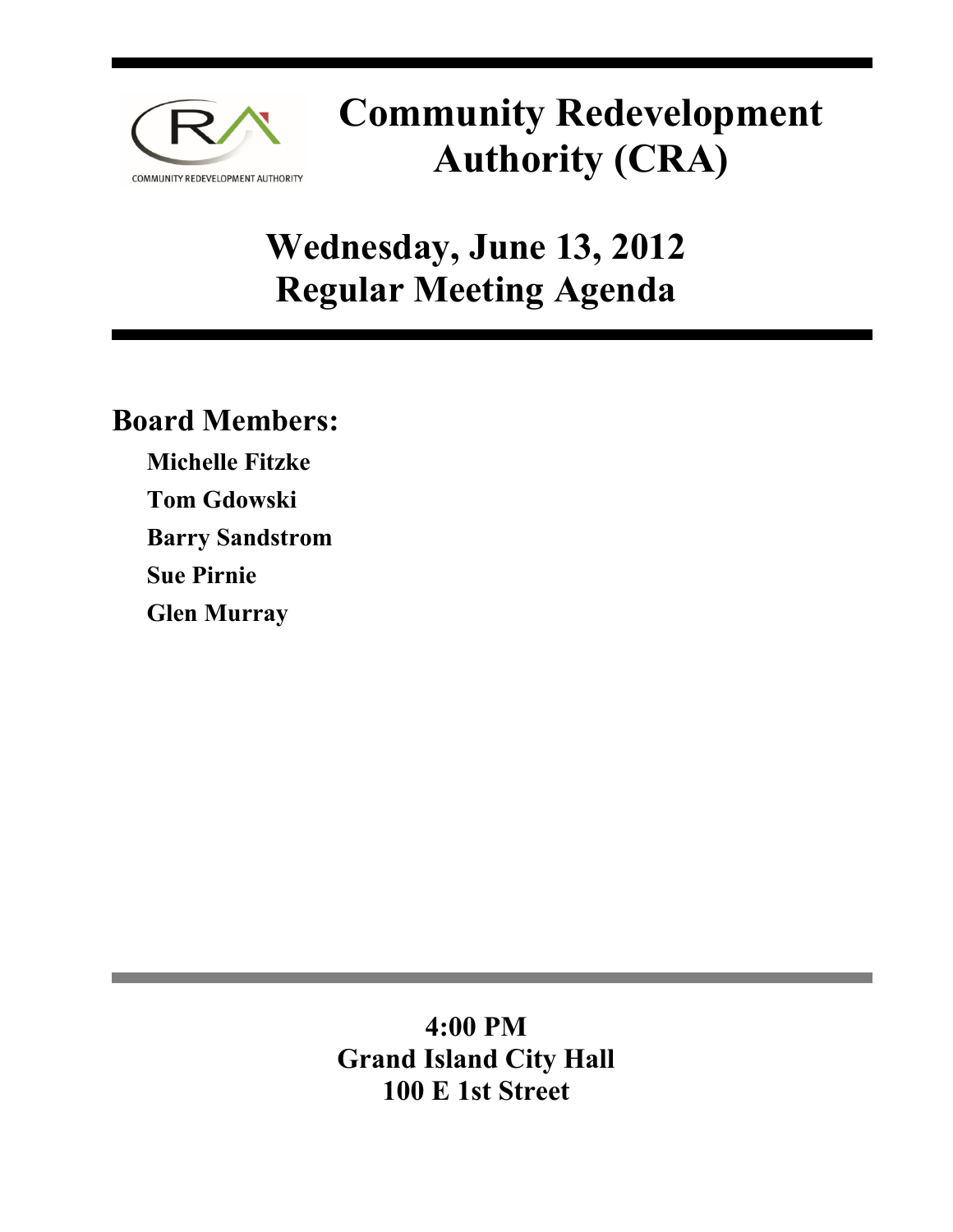

# **Community Redevelopment Authority (CRA)**

# **Wednesday, June 13, 2012 Regular Meeting Agenda**

## **Board Members:**

**Michelle Fitzke Tom Gdowski Barry Sandstrom Sue Pirnie Glen Murray** 

## **4:00 PM Grand Island City Hall 100 E 1st Street**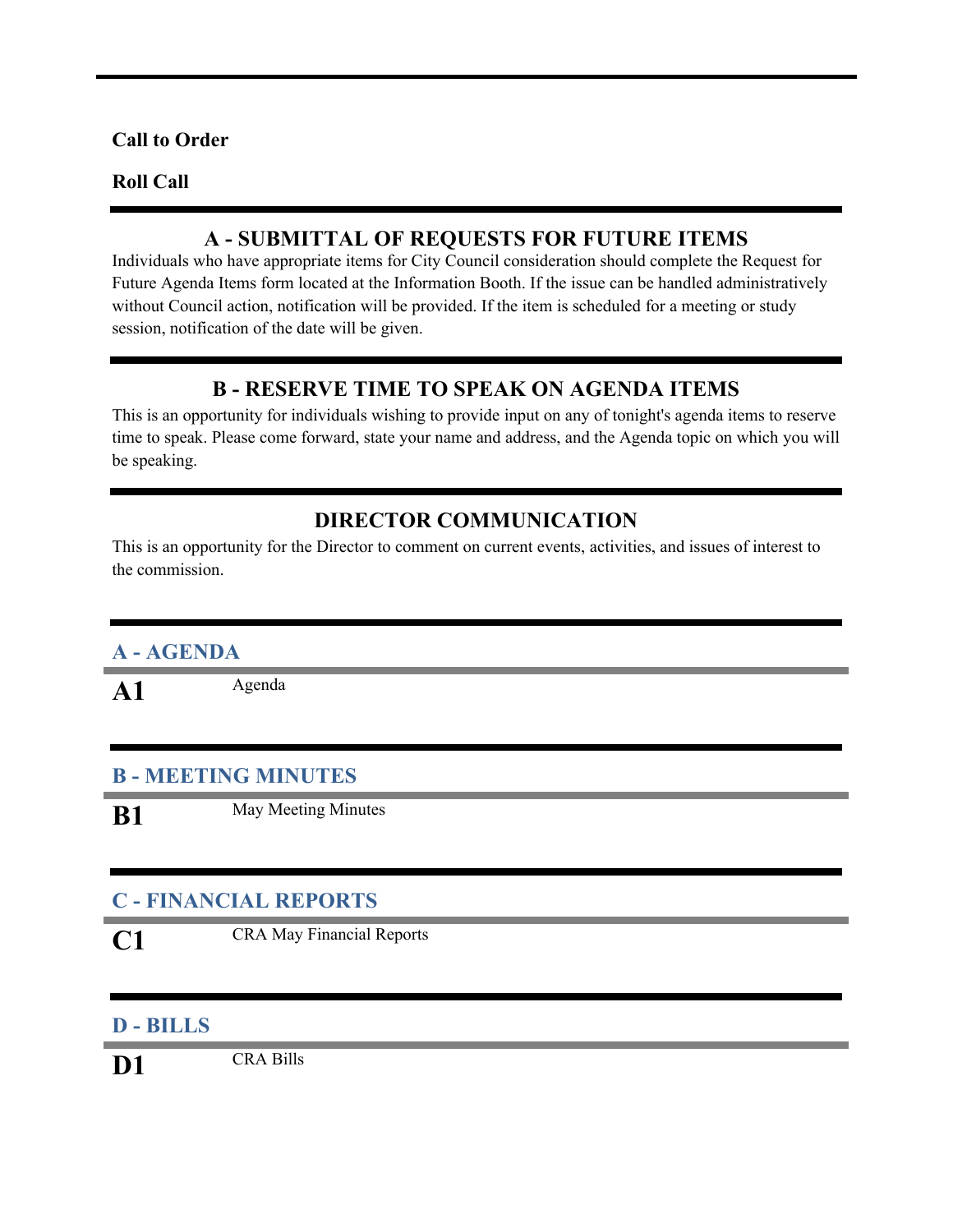#### **Call to Order**

#### **Roll Call**

#### **A - SUBMITTAL OF REQUESTS FOR FUTURE ITEMS**

Individuals who have appropriate items for City Council consideration should complete the Request for Future Agenda Items form located at the Information Booth. If the issue can be handled administratively without Council action, notification will be provided. If the item is scheduled for a meeting or study session, notification of the date will be given.

#### **B - RESERVE TIME TO SPEAK ON AGENDA ITEMS**

This is an opportunity for individuals wishing to provide input on any of tonight's agenda items to reserve time to speak. Please come forward, state your name and address, and the Agenda topic on which you will be speaking.

#### **DIRECTOR COMMUNICATION**

This is an opportunity for the Director to comment on current events, activities, and issues of interest to the commission.

#### **A - AGENDA**

A1 Agenda

#### **B - MEETING MINUTES**

**B1** May Meeting Minutes

#### **C - FINANCIAL REPORTS**

**C1** CRA May Financial Reports

#### **D - BILLS**

**D1** CRA Bills